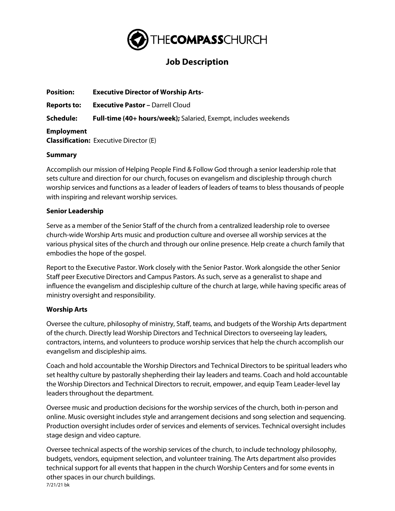

# **Job Description**

| <b>Position:</b>   | <b>Executive Director of Worship Arts-</b>                             |
|--------------------|------------------------------------------------------------------------|
| <b>Reports to:</b> | <b>Executive Pastor - Darrell Cloud</b>                                |
| Schedule:          | <b>Full-time (40+ hours/week);</b> Salaried, Exempt, includes weekends |
| <b>Employment</b>  | <b>Classification:</b> Executive Director (E)                          |

### **Summary**

Accomplish our mission of Helping People Find & Follow God through a senior leadership role that sets culture and direction for our church, focuses on evangelism and discipleship through church worship services and functions as a leader of leaders of leaders of teams to bless thousands of people with inspiring and relevant worship services.

### **Senior Leadership**

Serve as a member of the Senior Staff of the church from a centralized leadership role to oversee church-wide Worship Arts music and production culture and oversee all worship services at the various physical sites of the church and through our online presence. Help create a church family that embodies the hope of the gospel.

Report to the Executive Pastor. Work closely with the Senior Pastor. Work alongside the other Senior Staff peer Executive Directors and Campus Pastors. As such, serve as a generalist to shape and influence the evangelism and discipleship culture of the church at large, while having specific areas of ministry oversight and responsibility.

# **Worship Arts**

Oversee the culture, philosophy of ministry, Staff, teams, and budgets of the Worship Arts department of the church. Directly lead Worship Directors and Technical Directors to overseeing lay leaders, contractors, interns, and volunteers to produce worship services that help the church accomplish our evangelism and discipleship aims.

Coach and hold accountable the Worship Directors and Technical Directors to be spiritual leaders who set healthy culture by pastorally shepherding their lay leaders and teams. Coach and hold accountable the Worship Directors and Technical Directors to recruit, empower, and equip Team Leader-level lay leaders throughout the department.

Oversee music and production decisions for the worship services of the church, both in-person and online. Music oversight includes style and arrangement decisions and song selection and sequencing. Production oversight includes order of services and elements of services. Technical oversight includes stage design and video capture.

7/21/21 bk Oversee technical aspects of the worship services of the church, to include technology philosophy, budgets, vendors, equipment selection, and volunteer training. The Arts department also provides technical support for all events that happen in the church Worship Centers and for some events in other spaces in our church buildings.